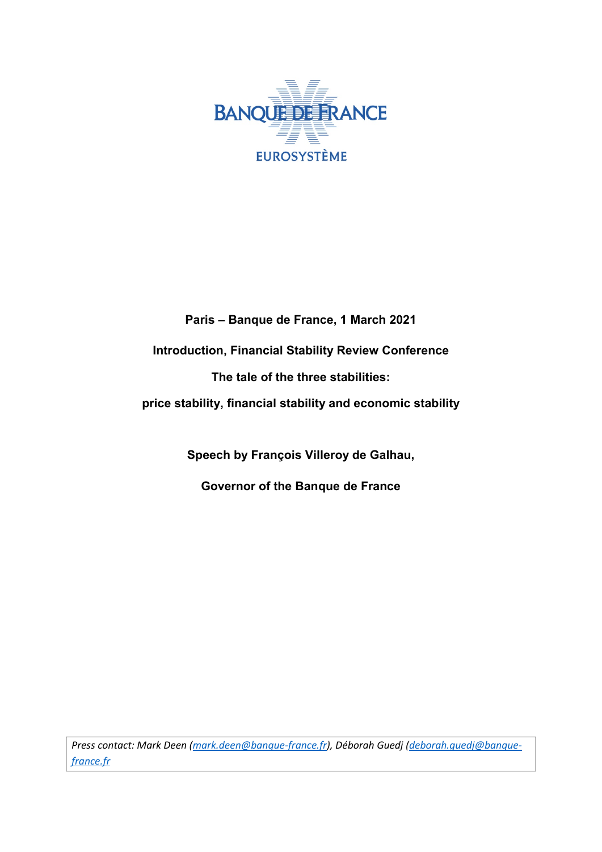

**Paris – Banque de France, 1 March 2021 Introduction, Financial Stability Review Conference The tale of the three stabilities: price stability, financial stability and economic stability**

**Speech by François Villeroy de Galhau,**

**Governor of the Banque de France**

*Press contact: Mark Deen [\(mark.deen@banque-france.fr\)](mailto:mark.deen@banque-france.fr), Déborah Guedj [\(deborah.guedj@banque](mailto:deborah.guedj@banque-france.fr)[france.fr](mailto:deborah.guedj@banque-france.fr)*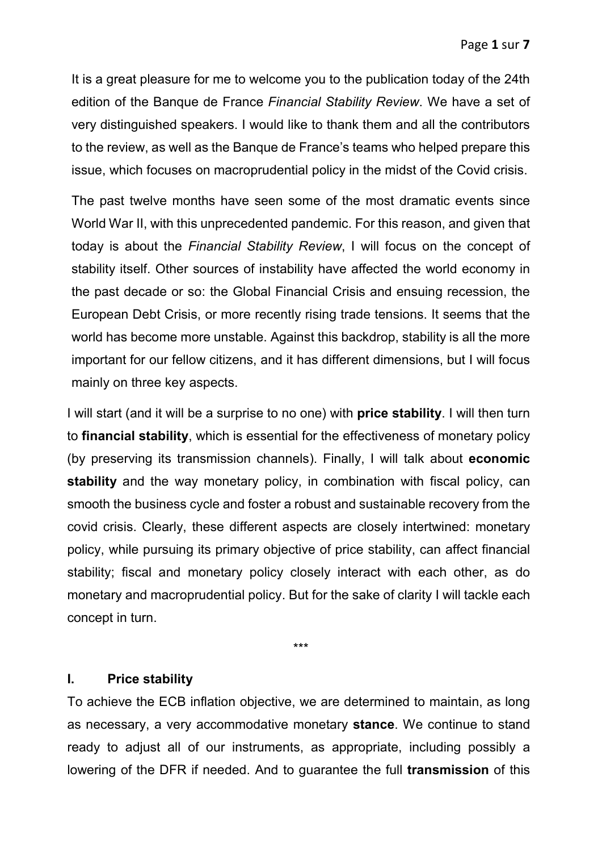It is a great pleasure for me to welcome you to the publication today of the 24th edition of the Banque de France *Financial Stability Review*. We have a set of very distinguished speakers. I would like to thank them and all the contributors to the review, as well as the Banque de France's teams who helped prepare this issue, which focuses on macroprudential policy in the midst of the Covid crisis.

The past twelve months have seen some of the most dramatic events since World War II, with this unprecedented pandemic. For this reason, and given that today is about the *Financial Stability Review*, I will focus on the concept of stability itself. Other sources of instability have affected the world economy in the past decade or so: the Global Financial Crisis and ensuing recession, the European Debt Crisis, or more recently rising trade tensions. It seems that the world has become more unstable. Against this backdrop, stability is all the more important for our fellow citizens, and it has different dimensions, but I will focus mainly on three key aspects.

I will start (and it will be a surprise to no one) with **price stability**. I will then turn to **financial stability**, which is essential for the effectiveness of monetary policy (by preserving its transmission channels). Finally, I will talk about **economic stability** and the way monetary policy, in combination with fiscal policy, can smooth the business cycle and foster a robust and sustainable recovery from the covid crisis. Clearly, these different aspects are closely intertwined: monetary policy, while pursuing its primary objective of price stability, can affect financial stability; fiscal and monetary policy closely interact with each other, as do monetary and macroprudential policy. But for the sake of clarity I will tackle each concept in turn.

\*\*\*

## **I. Price stability**

To achieve the ECB inflation objective, we are determined to maintain, as long as necessary, a very accommodative monetary **stance**. We continue to stand ready to adjust all of our instruments, as appropriate, including possibly a lowering of the DFR if needed. And to guarantee the full **transmission** of this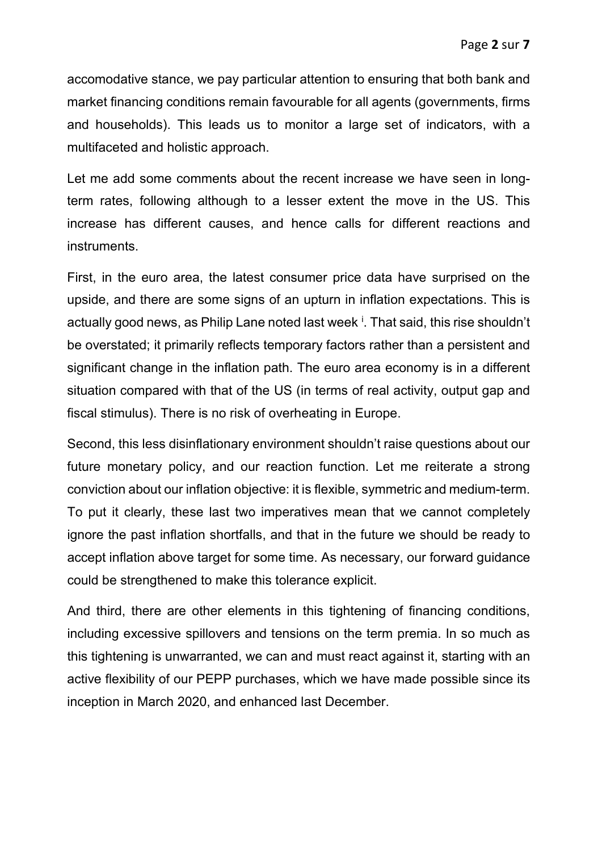accomodative stance, we pay particular attention to ensuring that both bank and market financing conditions remain favourable for all agents (governments, firms and households). This leads us to monitor a large set of indicators, with a multifaceted and holistic approach.

Let me add some comments about the recent increase we have seen in longterm rates, following although to a lesser extent the move in the US. This increase has different causes, and hence calls for different reactions and instruments.

First, in the euro area, the latest consumer price data have surprised on the upside, and there are some signs of an upturn in inflation expectations. This is actually good news, as Ph[i](#page-7-0)lip Lane noted last week  $^{\textrm{i}}$ . That said, this rise shouldn't be overstated; it primarily reflects temporary factors rather than a persistent and significant change in the inflation path. The euro area economy is in a different situation compared with that of the US (in terms of real activity, output gap and fiscal stimulus). There is no risk of overheating in Europe.

Second, this less disinflationary environment shouldn't raise questions about our future monetary policy, and our reaction function. Let me reiterate a strong conviction about our inflation objective: it is flexible, symmetric and medium-term. To put it clearly, these last two imperatives mean that we cannot completely ignore the past inflation shortfalls, and that in the future we should be ready to accept inflation above target for some time. As necessary, our forward guidance could be strengthened to make this tolerance explicit.

And third, there are other elements in this tightening of financing conditions, including excessive spillovers and tensions on the term premia. In so much as this tightening is unwarranted, we can and must react against it, starting with an active flexibility of our PEPP purchases, which we have made possible since its inception in March 2020, and enhanced last December.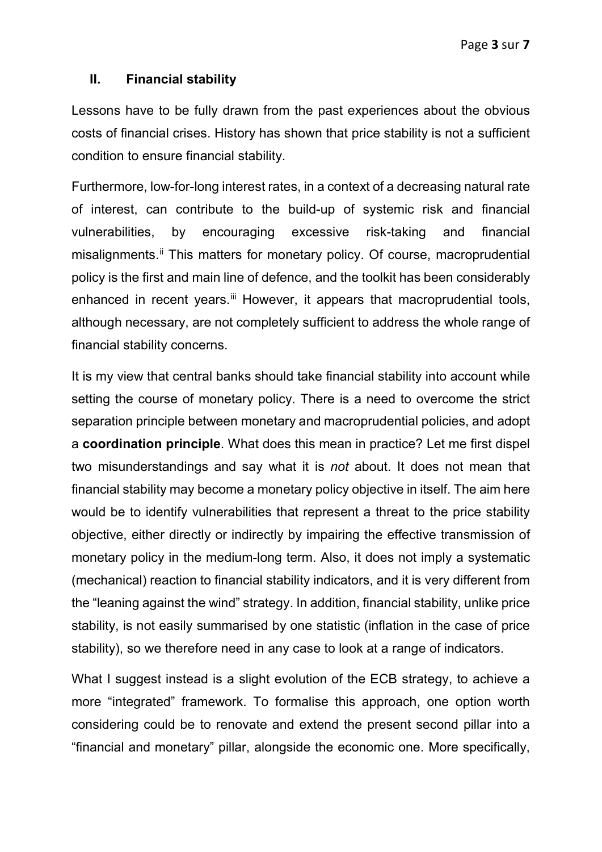## **II. Financial stability**

Lessons have to be fully drawn from the past experiences about the obvious costs of financial crises. History has shown that price stability is not a sufficient condition to ensure financial stability.

Furthermore, low-for-long interest rates, in a context of a decreasing natural rate of interest, can contribute to the build-up of systemic risk and financial vulnerabilities, by encouraging excessive risk-taking and financial misalignments.<sup>[ii](#page-7-1)</sup> This matters for monetary policy. Of course, macroprudential policy is the first and main line of defence, and the toolkit has been considerably enhanced in recent years.<sup>[iii](#page-7-2)</sup> However, it appears that macroprudential tools, although necessary, are not completely sufficient to address the whole range of financial stability concerns.

It is my view that central banks should take financial stability into account while setting the course of monetary policy. There is a need to overcome the strict separation principle between monetary and macroprudential policies, and adopt a **coordination principle**. What does this mean in practice? Let me first dispel two misunderstandings and say what it is *not* about. It does not mean that financial stability may become a monetary policy objective in itself. The aim here would be to identify vulnerabilities that represent a threat to the price stability objective, either directly or indirectly by impairing the effective transmission of monetary policy in the medium-long term. Also, it does not imply a systematic (mechanical) reaction to financial stability indicators, and it is very different from the "leaning against the wind" strategy. In addition, financial stability, unlike price stability, is not easily summarised by one statistic (inflation in the case of price stability), so we therefore need in any case to look at a range of indicators.

What I suggest instead is a slight evolution of the ECB strategy, to achieve a more "integrated" framework. To formalise this approach, one option worth considering could be to renovate and extend the present second pillar into a "financial and monetary" pillar, alongside the economic one. More specifically,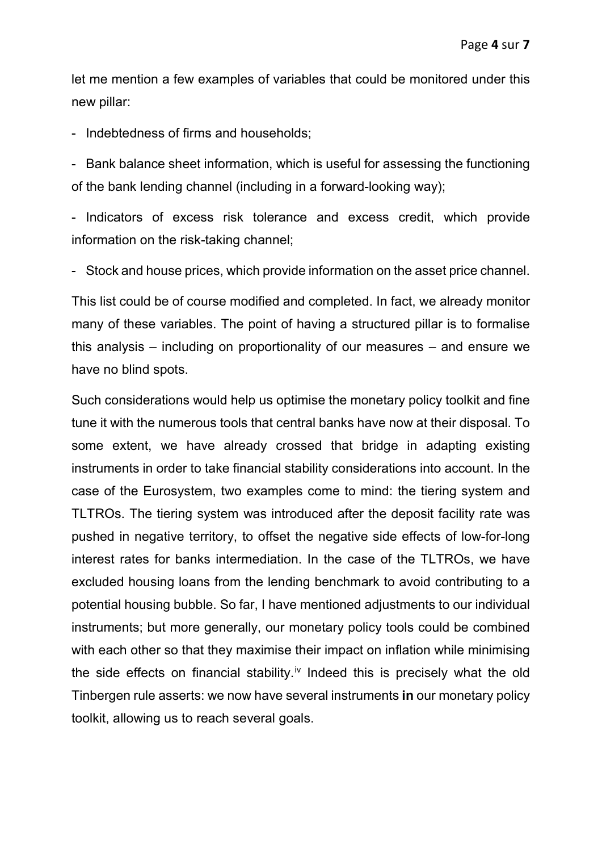let me mention a few examples of variables that could be monitored under this new pillar:

- Indebtedness of firms and households;

- Bank balance sheet information, which is useful for assessing the functioning of the bank lending channel (including in a forward-looking way);

- Indicators of excess risk tolerance and excess credit, which provide information on the risk-taking channel;

- Stock and house prices, which provide information on the asset price channel.

This list could be of course modified and completed. In fact, we already monitor many of these variables. The point of having a structured pillar is to formalise this analysis – including on proportionality of our measures – and ensure we have no blind spots.

Such considerations would help us optimise the monetary policy toolkit and fine tune it with the numerous tools that central banks have now at their disposal. To some extent, we have already crossed that bridge in adapting existing instruments in order to take financial stability considerations into account. In the case of the Eurosystem, two examples come to mind: the tiering system and TLTROs. The tiering system was introduced after the deposit facility rate was pushed in negative territory, to offset the negative side effects of low-for-long interest rates for banks intermediation. In the case of the TLTROs, we have excluded housing loans from the lending benchmark to avoid contributing to a potential housing bubble. So far, I have mentioned adjustments to our individual instruments; but more generally, our monetary policy tools could be combined with each other so that they maximise their impact on inflation while minimising the side effects on financial stability.<sup>[iv](#page-7-3)</sup> Indeed this is precisely what the old Tinbergen rule asserts: we now have several instruments **in** our monetary policy toolkit, allowing us to reach several goals.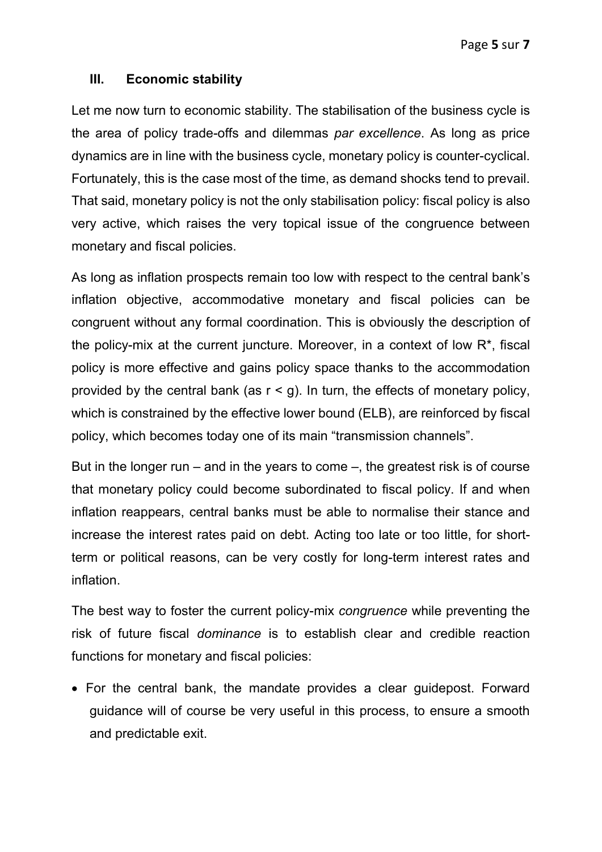## **III. Economic stability**

Let me now turn to economic stability. The stabilisation of the business cycle is the area of policy trade-offs and dilemmas *par excellence*. As long as price dynamics are in line with the business cycle, monetary policy is counter-cyclical. Fortunately, this is the case most of the time, as demand shocks tend to prevail. That said, monetary policy is not the only stabilisation policy: fiscal policy is also very active, which raises the very topical issue of the congruence between monetary and fiscal policies.

As long as inflation prospects remain too low with respect to the central bank's inflation objective, accommodative monetary and fiscal policies can be congruent without any formal coordination. This is obviously the description of the policy-mix at the current juncture. Moreover, in a context of low R\*, fiscal policy is more effective and gains policy space thanks to the accommodation provided by the central bank (as  $r < g$ ). In turn, the effects of monetary policy, which is constrained by the effective lower bound (ELB), are reinforced by fiscal policy, which becomes today one of its main "transmission channels".

But in the longer run – and in the years to come –, the greatest risk is of course that monetary policy could become subordinated to fiscal policy. If and when inflation reappears, central banks must be able to normalise their stance and increase the interest rates paid on debt. Acting too late or too little, for shortterm or political reasons, can be very costly for long-term interest rates and inflation.

The best way to foster the current policy-mix *congruence* while preventing the risk of future fiscal *dominance* is to establish clear and credible reaction functions for monetary and fiscal policies:

• For the central bank, the mandate provides a clear guidepost. Forward guidance will of course be very useful in this process, to ensure a smooth and predictable exit.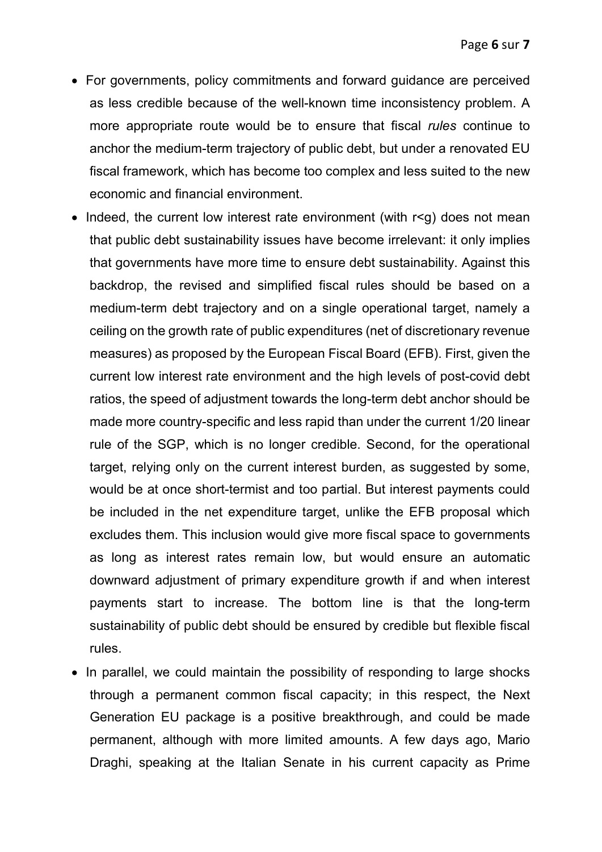- For governments, policy commitments and forward guidance are perceived as less credible because of the well-known time inconsistency problem. A more appropriate route would be to ensure that fiscal *rules* continue to anchor the medium-term trajectory of public debt, but under a renovated EU fiscal framework, which has become too complex and less suited to the new economic and financial environment.
- Indeed, the current low interest rate environment (with r<g) does not mean that public debt sustainability issues have become irrelevant: it only implies that governments have more time to ensure debt sustainability. Against this backdrop, the revised and simplified fiscal rules should be based on a medium-term debt trajectory and on a single operational target, namely a ceiling on the growth rate of public expenditures (net of discretionary revenue measures) as proposed by the European Fiscal Board (EFB). First, given the current low interest rate environment and the high levels of post-covid debt ratios, the speed of adjustment towards the long-term debt anchor should be made more country-specific and less rapid than under the current 1/20 linear rule of the SGP, which is no longer credible. Second, for the operational target, relying only on the current interest burden, as suggested by some, would be at once short-termist and too partial. But interest payments could be included in the net expenditure target, unlike the EFB proposal which excludes them. This inclusion would give more fiscal space to governments as long as interest rates remain low, but would ensure an automatic downward adjustment of primary expenditure growth if and when interest payments start to increase. The bottom line is that the long-term sustainability of public debt should be ensured by credible but flexible fiscal rules.
- In parallel, we could maintain the possibility of responding to large shocks through a permanent common fiscal capacity; in this respect, the Next Generation EU package is a positive breakthrough, and could be made permanent, although with more limited amounts. A few days ago, Mario Draghi, speaking at the Italian Senate in his current capacity as Prime